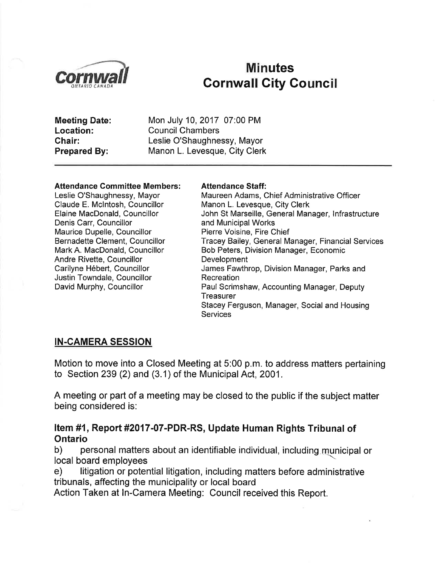

# Minutes<br>Cornwall Cornwall City Council

Meeting Date: Location: Chair: Prepared By:

Mon July 10,2017 07:00 PM Council Chambers Leslie O'Shaughnessy, Mayor Manon L. Levesque, City Clerk

#### Attendance Committee Members:

Leslie O'Shaughnessy, Mayor Claude E. Mclntosh, Councillor Elaine MacDonald, Councillor Denis Carr, Councillor Maurice Dupelle, Councillor Bernadette Clement, Councillor Mark A. MacDonald, Councillor Andre Rivette, Councillor Carilyne Hébert, Councillor Justin Towndale, Councillor David Murphy, Councillor

#### Attendance Staff:

Maureen Adams, Chief Administrative Officer Manon L. Levesque, City Clerk John St Marseille, General Manager, lnfrastructure and Municipal Works Pierre Voisine, Fire Chief Tracey Bailey, General Manager, Financial Services Bob Peters, Division Manager, Economic Development James Fawthrop, Division Manager, Parks and **Recreation** Paul Scrimshaw, Accounting Manager, Deputy **Treasurer** Stacey Ferguson, Manager, Social and Housing **Services** 

#### IN-CAMERA SESSION

Motion to move into a Closed Meeting at 5:00 p.m. to address matters pertaining to Section 239 (2) and (3.1) of the Municipal Act, 2001 .

A meeting or part of a meeting may be closed to the public if the subject matter being considered is:

# Item #1, Report #2017-07-PDR-RS, Update Human Rights Tribunal of<br>Ontario

b) personal matters about an identifiable individual, including.municipal or local board emplovees

e) litigation or potential litigation, including matters before administrative tribunals, affecting the municipality or local board

Action Taken at ln-Camera Meeting: Council received this Report.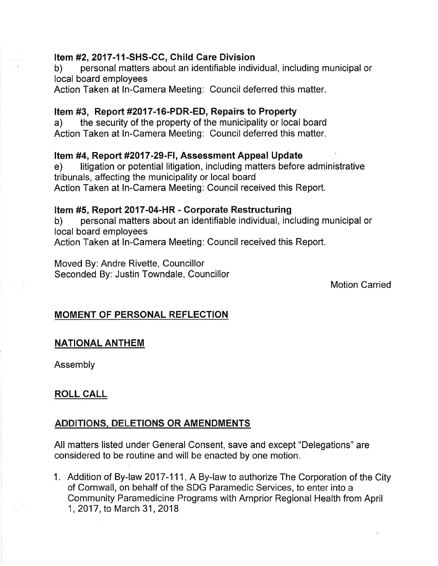#### Item #2,2017-11-SHS-GC, Child Gare Division

b) personal matters about an identifiable individual, including municipal or local board employees

Action Taken at ln-Camera Meeting: Council deferred this matter.

#### Item #3, Report #2017-16-PDR-ED, Repairs to Property

a) the security of the property of the municipality or local board Action Taken at ln-Camera Meeting: Council deferred this matter.

#### Item #4, Report #2017-29-FI, Assessment Appeal Update

e) litigation or potential litigation, including matters before administrative tribunals, affecting the municipality or local board Action Taken at ln-Camera Meeting: Council received this Report.

#### Item #5, Report 2017-04-HR - Corporate Restructuring

b) personal matters about an identifiable individual, including municipal or local board employees Action Taken at ln-Camera Meeting: Council received this Report.

Moved By: Andre Rivette, Councillor Seconded By: Justin Towndale, Councillor

Motion Carried

### MOMENT OF PERSONAL REFLECTION

#### NATIONAL ANTHEM

Assembly

### ROLL CALL

#### ADDITIONS. DELETIONS OR AMENDMENTS

All matters listed under General Consent, save and except "Delegations" are considered to be routine and will be enacted by one motion.

1. Addition of By-law 2017-111, A By-law to authorize The Corporation of the City of Cornwall, on behalf of the SDG Paramedic Services, to enter into a Community Paramedicine Programs with Arnprior Regional Health from April 1, 2017, to March 31, 2018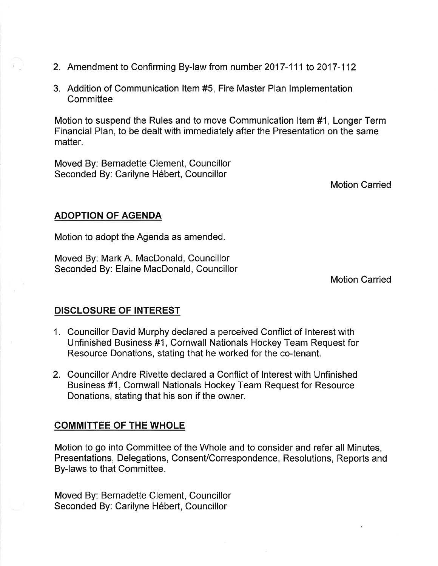- 2. Amendment to Confirming By-law from number 2017-111 to 2017-112
- 3. Addition of Communication ltem #5, Fire Master Plan lmplementation **Committee**

Motion to suspend the Rules and to move Communication ltem #1, Longer Term Financial Plan, to be dealt with immediately after the Presentation on the same matter.

Moved By: Bernadette Clement, Councillor Seconded By: Carilyne Hébert, Councillor

Motion Carried

### ADOPTION OF AGENDA

Motion to adopt the Agenda as amended.

Moved By: Mark A. MacDonald, Councillor Seconded By: Elaine MacDonald, Councillor

Motion Carried

### DISCLOSURE OF INTEREST

- 1. Councillor David Murphy declared a perceived Conflict of lnterest with Unfinished Business #1, Cornwall Nationals Hockey Team Request for Resource Donations, stating that he worked for the co-tenant.
- 2. Councillor Andre Rivette declared a Conflict of lnterest with Unfinished Business #1, Cornwall Nationals Hockey Team Request for Resource Donations, stating that his son if the owner.

### COMMITTEE OF THE WHOLE

Motion to go into Committee of the Whole and to consider and refer all Minutes, Presentations, Delegations, Consent/Correspondence, Resolutions, Reports and By-laws to that Committee.

Moved By: Bernadette Clement, Councíllor Seconded By: Carilyne Hébert, Councillor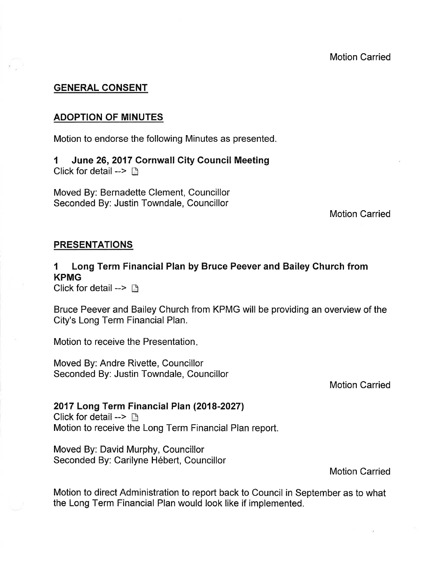#### GENERAL CONSENT

#### ADOPTION OF MINUTES

Motion to endorse the following Minutes as presented.

1 June 26,2017 Cornwall City Gouncil Meeting Click for detail -->  $\Box$ 

Moved By: Bernadette Clement, Councillor Seconded By: Justin Towndale, Councillor

Motion Carried

#### PRESENTATIONS

## 1 Long Term Financial Plan by Bruce Peever and Bailey Church from KPMG

Click for detail  $\rightarrow$   $\Box$ 

Bruce Peever and Bailey Church from KPMG will be providing an overview of the City's Long Term Financial Plan.

Motion to receive the Presentation

Moved By: Andre Rivette, Councillor Seconded By: Justin Towndale, Councillor

Motion Carried

#### 2017 Long Term Financial Plan (2018-2027)

Click for detail -->  $\Box$ Motion to receive the Long Term Financial Plan report.

Moved By: David Murphy, Councillor Seconded By: Carilyne Hébert, Councillor

Motion Carried

Motion to direct Administration to report back to Council in September as to what the Long Term Financial Plan would look like if implemented.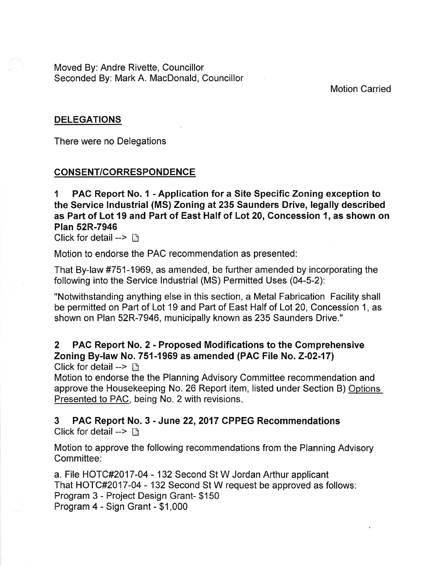Moved By: Andre Rivette, Councillor Seconded By: Mark A. MacDonald, Councillor

Motion Carried

#### DELEGATIONS

There were no Delegations

#### **CONSENT/CORRESPONDENCE**

I PAC Report No. 1 - Application for a Site Specific Zoning exception to the Service lndustrial (MS) Zoning at235 Saunders Drive, legally described as Part of Lot 19 and Part of East Half of Lot 20, Concession 1, as shown on Plan 52R-7946

Click for detail -->  $\Box$ 

Motion to endorse the PAC recommendation as presented:

That By-law #751-1969, as amended, be further amended by incorporating the following into the Service Industrial (MS) Permitted Uses (04-5-2):

"Notwithstanding anything else in this section, a Metal Fabrication Facility shall be permitted on Part of Lot 19 and Part of East Half of Lot 20, Concession 1, as shown on Plan 52R-7946, municipally known as 235 Saunders Drive."

# 2 PAC Report No. 2 - Proposed Modifications to the Comprehensive Zoning By-law No. 751-1969 as amended (PAC File No. Z-02-17)

Click for detail  $\rightarrow$   $\mathbb{R}$ 

Motion to endorse the the Planning Advisory Committee recommendation and approve the Housekeeping No. 26 Report item, listed under Section B) Options Presented to PAC, being No. 2 with revisions.

#### 3 PAC Report No. 3 - June 22,2017 CPPEG Recommendations Click for detail -->  $\Box$

Motion to approve the following recommendations from the Planning Advisory Committee:

a. File HOTC#2O17-04 - 132 Second St W Jordan Arthur applicant That HOTC#2O17-04 - 132 Second St W request be approved as follows: Program 3 - Project Design Grant- \$150 Program 4 - Sign Grant - \$1,000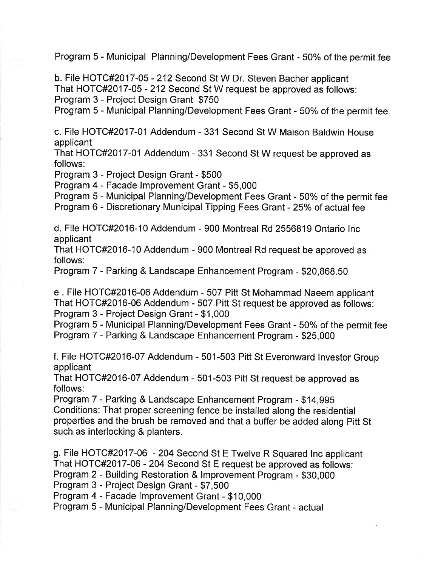Program 5 - Municipal Planning/Development Fees Grant - 50% of the permit fee

b. File HOTC#2O17-05 - 212 Second St W Dr. Steven Bacher applicant That HOTC#2O17-05 - 212 Second St W request be approved as follows: Program 3 - Project Design Grant \$750

Program 5 - Municipal Planning/Development Fees Grant - 50% of the permit fee

c. File HOTC#2017-0l Addendum - 331 Second St W Maison Baldwin House applicant

That HOTC#2O17-0l Addendum - 331 Second St W request be approved as follows:

Program 3 - Project Design Grant - \$500

Program 4 - Facade lmprovement Grant - \$5,000

Program 5 - Municipal Planning/Development Fees Grant - 50% of the permit fee

Program 6 - Discretionary Municipal Tipping Fees Grant - 25% of actual fee

d. File HOTC#2016-10 Addendum - 900 Montreal Rd 2556819 Ontario lnc applicant

That HOTC#2016-10 Addendum - 900 Montreal Rd request be approved as follows:

Program 7 - Parking & Landscape Enhancement Program - \$20,868.50

e. File HOTC#2016-06 Addendum - 507 Pitt St Mohammad Naeem applicant That HOTC#2016-06 Addendum - 507 Pitt St request be approved as follows: Program 3 - Project Design Grant - \$1,000

Program 5 - Municipal Planning/Development Fees Grant - 50% of the permit fee Program 7 - Parking & Landscape Enhancement Program - \$25,000

f. File HOTC#2O16-07 Addendum - 501-503 Pitt St Everonward lnvestor Group applicant

That HoTc#2016-07 Addendum - 501-503 Pitt St request be approved as follows:

Program 7 - Parking & Landscape Enhancement Program - \$14,995 Conditions: That proper screening fence be installed along the residential properties and the brush be removed and that a buffer be added along Pitt St such as interlocking & planters.

g. File HOTC#2O17-06 - 204 Second St E Twelve R Squared Inc applicant That HoTc#2O17-06 - 204 second St E request be approved as follows: Program 2 - Building Restoration & lmprovement Program - \$30,000

Program 3 - Project Design Grant - \$7,500

Program 4 - Facade Improvement Grant - \$10,000

Program 5 - Municipal Planning/Development Fees Grant - actual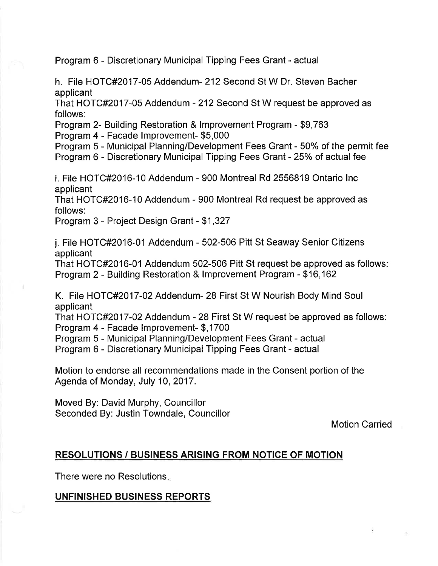Program 6 - Discretionary Municipal Tipping Fees Grant - actual

h. File HOTC#2017-05 Addendum- 212 Second St W Dr. Steven Bacher applicant

That HOTC#2O17-05 Addendum - 212 Second St W request be approved as follows:

Program 2- Building Restoration & lmprovement Program - \$9,763

Program 4 - Facade lmprovement- \$5,000

Program 5 - Municipal Planning/Development Fees Grant - 50% of the permit fee Program 6 - Discretionary Municipal Tipping Fees Grant - 25% of actual fee

i. File HOTC#2016-10 Addendum - 900 Montreal Rd 2556819 Ontario lnc applicant

That HOTC#2O16-10 Addendum - 900 Montreal Rd request be approved as follows:

Program 3 - Project Design Grant - \$1,327

j. File HOTC#2016-01 Addendum - 502-506 Pitt St Seaway Senior Citizens applicant

That HOTC#2O16-01 Addendum 502-506 Pitt St request be approved as follows Program 2 - Building Restoration & lmprovement Program - \$16,162

K. File HOTC#2017-02 Addendum- 28 First St W Nourish Body Mind Soul applicant

That HOTC#2O17-02 Addendum - 28 First St W request be approved as follows: Program 4 - Facade lmprovement- \$,1700

Program 5 - Municipal Planning/Development Fees Grant - actual

Program 6 - Discretionary Municipal Tipping Fees Grant - actual

Motion to endorse all recommendations made in the Consent portion of the Agenda of Monday, July 10,2017.

Moved By: David Murphy, Councillor Seconded By: Justin Towndale, Councillor

Motion Carried

### RESOLUTIONS / BUSINESS ARISING FROM NOTIGE OF MOTION

There were no Resolutions

### UNFINISHED BUSINESS REPORTS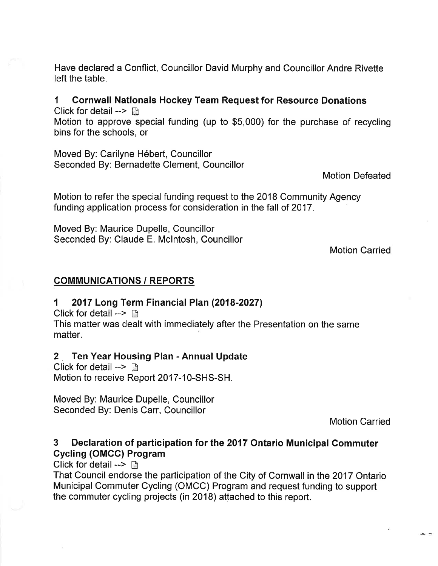Have declared a Conflict, Councillor David Murphy and Councillor Andre Rivette left the table.

I Cornwall Nationals Hockey Team Request for Resource Donations

Click for detail  $\rightarrow$   $\Box$ 

Motion to approve special funding (up to \$5,000) for the purchase of recycling bins for the schools, or

Moved By: Carilyne Hébert, Councillor Seconded By: Bernadette Clement, Councillor

Motion Defeated

Motion to refer the special funding request to the 2018 Community Agency funding application process for consideration in the fall of 2017.

Moved By: Maurice Dupelle, Councillor Seconded By: Claude E. Mclntosh, Councillor

Motion Carried

## COMMUNICATIONS / REPORTS

### 1 2017 Long Term Financial Plan (2018-2027)

Click for detail  $\rightarrow$   $\rightarrow$ 

This matter was dealt with ímmediately after the Presentation on the same matter.

### 2 \_ Ten Year Housing Plan - Annual Update

Click for detail -->  $\mathbb{R}$ Motion to receive Report 2017-10-SHS-SH.

Moved By: Maurice Dupelle, Councillor Seconded By: Denis Carr, Councillor

Motion Carried

# 3 Declaration of participation for the 2017 Ontario Municipal Commuter Cycling (OMCC) Program

Click for detail  $\rightarrow$  n

That Council endorse the participation of the City of Cornwall in the 2017 Ontario Municipal Commuter Cycling (OMCC) Program and request funding to support the commuter cycling projects (in 2018) attached to this report.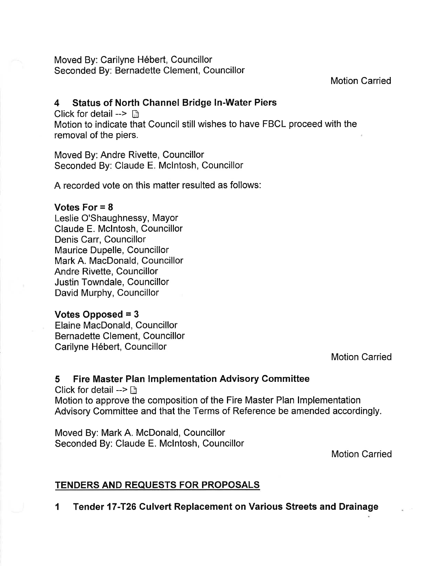Moved By: Carilyne Hébert, Councillor Seconded By: Bernadette Clement, Councillor

Motion Carried

#### 4 Status of North Channel Bridge ln-Water Piers

Click for detail  $\rightarrow \Box$ 

Motion to indicate that Council still wishes to have FBCL proceed with the removal of the piers.

Moved By: Andre Rivette, Councillor Seconded By: Claude E. Mclntosh, Councillor

A recorded vote on this matter resulted as follows:

#### Votes For  $= 8$

Leslie O'Shaughnessy, Mayor Claude E. Mclntosh, Councillor Denis Carr, Councillor Maurice Dupelle, Councillor Mark A. MacDonald, Councillor Andre Rivette, Councillor Justin Towndale, Councillor David Murphy, Councillor

### Votes Opposed  $= 3$

Elaine MacDonald, Councillor Bernadette Clement, Councillor Carilyne Hébert, Councillor

Motion Carried

# 5 Fire Master Plan lmplementation Advisory Gommittee

Click for detail  $>$   $\Box$ Motion to approve the composition of the Fire Master Plan lmplementation Advisory Committee and that the Terms of Reference be amended accordingly.

Moved By: Mark A. McDonald, Councillor Seconded By: Claude E. Mclntosh, Councillor

Motion Carried

# TENDERS AND REQUESTS FOR PROPOSALS

1 Tender 17-T26 Culvert Replacement on Various Streets and Drainage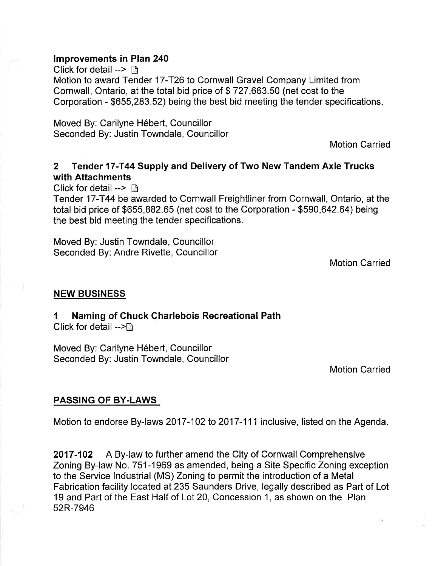#### lmprovements in Plan 240

Click for detail -->  $\Box$ Motion to award Tender 17-T26 to Cornwall Gravel Company Limited from Cornwall, Ontario, at the total bid price of \$ 727 ,663.50 (net cost to the Corporation - \$655 ,283.52) being the best bid meeting the tender specifications

Moved By: Carilyne Hébert, Councillor Seconded By: Justin Towndale, Councillor

Motion Carried

# 2 Tender 17-T44 Supply and Delivery of Two New Tandem Axle Trucks with Attachments

Click for detail  $\rightarrow$   $\Box$ 

Tender 17-T44 be awarded to Cornwall Freightliner from Cornwall, Ontario, at the total bid price of \$655,882.65 (net cost to the Corporation - \$590 ,642.64) being the best bid meeting the tender specifications.

Moved By: Justin Towndale, Councillor Seconded By: Andre Rivette, Councillor

Motion Carried

#### NEW BUSINESS

1 Naming of Chuck Charlebois Recreational Path Click for detail  $-$ >n

Moved By: Carilyne Hébert, Councillor Seconded By: Justin Towndale, Councillor

Motion Carried

#### PASSING OF BY.LAWS

Motion to endorse By-laws 2017-102 to 2017-111 inclusive, listed on the Agenda.

2017-102 A By-law to further amend the City of Cornwall Comprehensive Zoning By-law No. 751-1969 as amended, being a Site Specific Zoning exception to the Service lndustrial (MS) Zoning to permit the introduction of a Metal Fabrication facility located at235 Saunders Drive, legally described as Part of Lot 19 and Part of the East Half of Lot 20, Concession 1 , as shown on the Plan 52R-7946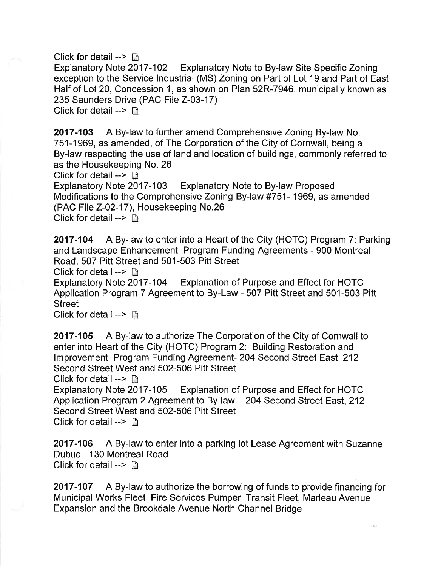Click for detail --> n Explanatory Note to By-law Site Specific Zoning exception to the Service lndustrial (MS) Zoning on Part of Lot 19 and Part of East Half of Lot 20, Concession 1, as shown on Plan 52R-7946, municipally known as 235 Saunders Drive (PAC File 2-03-17)

Click for detail -->  $\Box$ 

2017-103 A By-law to further amend Comprehensive Zoning By-law No. 751-1969, as amended, of The Corporation of the City of Cornwall, being a By-law respecting the use of land and location of buildings, commonly referred to as the Housekeeping No. 26

Click for detail -->  $\Box$ <br>Explanatory Note 2017-103 Explanatory Note to By-law Proposed Modifications to the Comprehensive Zoning By-law #751- 1969, as amended (PAC File 2-02-17), Housekeeping No.26 Click for detail -->  $\Box$ 

2017-104 A By-law to enter into a Heart of the City (HOTC) Program 7: Parking and Landscape Enhancement Program Funding Agreements - 900 Montreal Road, 507 Pitt Street and 501-503 Pitt Street

Click for detail -->  $\Box$ <br>Explanatory Note 2017-104 Explanation of Purpose and Effect for HOTC Application Program 7 Agreement to By-Law - 507 Pitt Street and 501-503 Pitt Street

Click for detail -->  $\Box$ 

2017-105 A By-law to authorize The Corporation of the City of Cornwall to enter into Heart of the City (HOTC) Program 2: Building Restoration and lmprovement Program Funding Agreement- 204 Second Street Êast,212 Second Street West and 502-506 Pitt Street

Click for detail -->  $\Box$ <br>Explanatory Note 2017-105 Explanation of Purpose and Effect for HOTC Application Program 2 Agreement to By-law - 204 Second Street East,212 Second Street West and 502-506 Pitt Street Click for detail  $\rightarrow$   $\mathbb{R}$ 

2017-106 A By-law to enter into a parking lot Lease Agreement with Suzanne Dubuc - 130 Montreal Road Click for detail  $\rightarrow$  n

2017-107 A By-law to authorize the borrowing of funds to provide financing for Municipal Works Fleet, Fire Services Pumper, Transit Fleet, Marleau Avenue Expansion and the Brookdale Avenue North Channel Bridge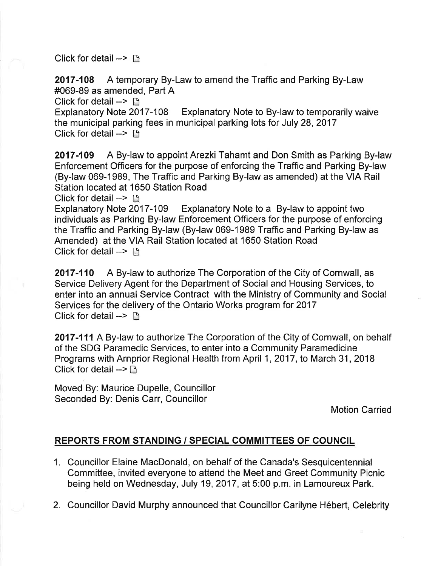Click for detail  $\rightarrow$  n

2017-108 A temporary By-Law to amend the Traffic and Parking By-Law #069-89 as amended, Part A

Click for detail --> **hetail 500m**<br>Explanatory Note 2017-108 Explanatory Note to By-law to temporarily waive the municipal parking fees in municipal parking lots for July 28, 2017 Click for detail  $\rightarrow$   $\rightarrow$ 

2017-109 A By-law to appoint Arezki Tahamt and Don Smith as Parking By-law Enforcement Officers for the purpose of enforcing the Traffic and Parking By-law (By-law 069-1989, The Traffic and Parking By-law as amended) at the VIA Rail Station located at 1650 Station Road

Click for detail -->  $\Box$ <br>Explanatory Note 2017-109 Explanatory Note to a By-law to appoint two individuals as Parking By-law Enforcement Officers for the purpose of enforcing the Traffic and Parking By-law (By-law 069-1989 Traffic and Parking By-law as Amended) at the VIA Rail Station located at 1650 Station Road Click for detail  $\rightarrow$  n

**2017-110** A By-law to authorize The Corporation of the City of Cornwall, as Service Delivery Agent for the Department of Social and Housing Services, to enter into an annual Service Contract with the Ministry of Community and Social Services for the delivery of the Ontario Works program for 2017 Click for detail -->  $\Box$ 

2017-111 A By-law to authorize The Corporation of the City of Cornwall, on behalf of the SDG Paramedic Services, to enter into a Community Paramedicine Programs with Arnprior Regional Health from April 1, 2017, to March 31, 2018 Click for detail -->  $\Box$ 

Moved By: Maurice Dupelle, Councillor Seconded By: Denis Carr, Councillor

Motion Carried

### REPORTS FROM STANDING / SPECIAL COMMITTEES OF COUNCIL

- 1. Councillor Elaine MacDonald, on behalf of the Canada's Sesquicentennial Committee, invited everyone to attend the Meet and Greet Community Picnic being held on Wednesday, July 19,2017, at 5:00 p.m. in Lamoureux Park.
- 2. Councillor David Murphy announced that Councillor Carilyne Hébert, Celebrity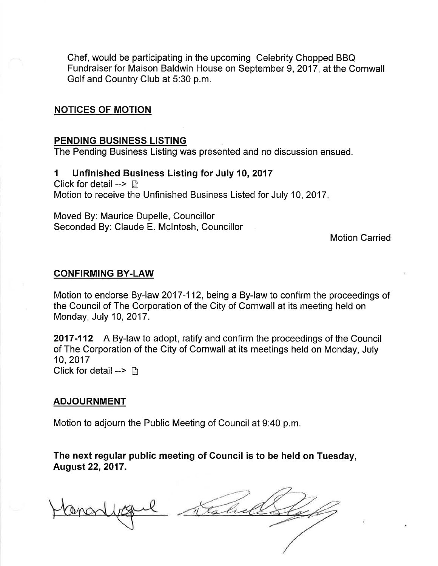Chef, would be participating in the upcoming Celebrity Chopped BBQ Fundraiser for Maison Baldwin House on September 9,2017, at the Cornwall Golf and Country Club at 5:30 p.m.

#### NOTICES OF MOTION

#### PENDING BUSINESS LISTING

The Pending Business Listing was presented and no discussion ensued.

1 Unfinished Business Listing for July 10,2017 Click for detail  $\rightarrow$  n Motion to receive the Unfinished Business Listed for July 10,2017

Moved By: Maurice Dupelle, Councillor Seconded By: Claude E. Mclntosh, Councillor

Motion Carried

#### CONFIRMING BY.LAW

Motion to endorse By-law 2017-112, being a By-law to confirm the proceedings of the Council of The Corporation of the City of Cornwall at its meeting held on Monday, July 10,2017.

2017-112 A By-law to adopt, ratify and confirm the proceedings of the Council of The Corporation of the City of Cornwall at its meetings held on Monday, July 10,2017 Click for detail -->  $\Box$ 

#### ADJOURNMENT

Motion to adjourn the Public Meeting of Council at 9:40 p.m.

The next regular public meeting of Council is to be held on Tuesday, August 22,2017.